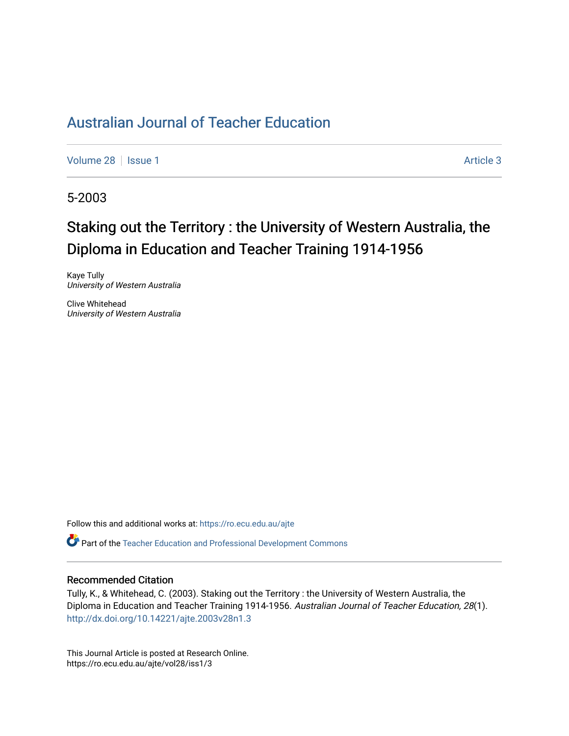# [Australian Journal of Teacher Education](https://ro.ecu.edu.au/ajte)

[Volume 28](https://ro.ecu.edu.au/ajte/vol28) | [Issue 1](https://ro.ecu.edu.au/ajte/vol28/iss1) Article 3

5-2003

# Staking out the Territory : the University of Western Australia, the Diploma in Education and Teacher Training 1914-1956

Kaye Tully University of Western Australia

Clive Whitehead University of Western Australia

Follow this and additional works at: [https://ro.ecu.edu.au/ajte](https://ro.ecu.edu.au/ajte?utm_source=ro.ecu.edu.au%2Fajte%2Fvol28%2Fiss1%2F3&utm_medium=PDF&utm_campaign=PDFCoverPages) 

Part of the [Teacher Education and Professional Development Commons](http://network.bepress.com/hgg/discipline/803?utm_source=ro.ecu.edu.au%2Fajte%2Fvol28%2Fiss1%2F3&utm_medium=PDF&utm_campaign=PDFCoverPages)

# Recommended Citation

Tully, K., & Whitehead, C. (2003). Staking out the Territory : the University of Western Australia, the Diploma in Education and Teacher Training 1914-1956. Australian Journal of Teacher Education, 28(1). <http://dx.doi.org/10.14221/ajte.2003v28n1.3>

This Journal Article is posted at Research Online. https://ro.ecu.edu.au/ajte/vol28/iss1/3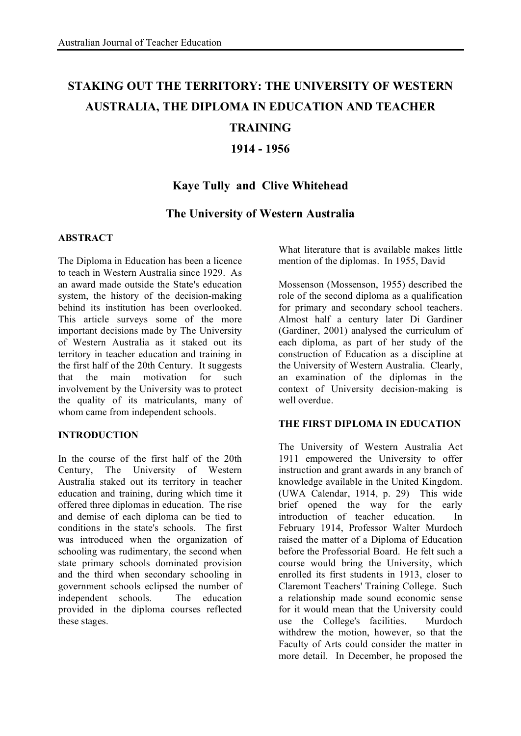# **STAKING OUT THE TERRITORY: THE UNIVERSITY OF WESTERN AUSTRALIA, THE DIPLOMA IN EDUCATION AND TEACHER**

# **TRAINING**

# **1914 - 1956**

# **Kaye Tully and Clive Whitehead**

# **The University of Western Australia**

## **ABSTRACT**

The Diploma in Education has been a licence to teach in Western Australia since 1929. As an award made outside the State's education system, the history of the decision-making behind its institution has been overlooked. This article surveys some of the more important decisions made by The University of Western Australia as it staked out its territory in teacher education and training in the first half of the 20th Century. It suggests that the main motivation for such involvement by the University was to protect the quality of its matriculants, many of whom came from independent schools.

## **INTRODUCTION**

In the course of the first half of the 20th Century, The University of Western Australia staked out its territory in teacher education and training, during which time it offered three diplomas in education. The rise and demise of each diploma can be tied to conditions in the state's schools. The first was introduced when the organization of schooling was rudimentary, the second when state primary schools dominated provision and the third when secondary schooling in government schools eclipsed the number of independent schools. The education provided in the diploma courses reflected these stages.

What literature that is available makes little mention of the diplomas. In 1955, David

Mossenson (Mossenson, 1955) described the role of the second diploma as a qualification for primary and secondary school teachers. Almost half a century later Di Gardiner (Gardiner, 2001) analysed the curriculum of each diploma, as part of her study of the construction of Education as a discipline at the University of Western Australia. Clearly, an examination of the diplomas in the context of University decision-making is well overdue.

## **THE FIRST DIPLOMA IN EDUCATION**

The University of Western Australia Act 1911 empowered the University to offer instruction and grant awards in any branch of knowledge available in the United Kingdom. (UWA Calendar, 1914, p. 29) This wide brief opened the way for the early introduction of teacher education. In February 1914, Professor Walter Murdoch raised the matter of a Diploma of Education before the Professorial Board. He felt such a course would bring the University, which enrolled its first students in 1913, closer to Claremont Teachers' Training College. Such a relationship made sound economic sense for it would mean that the University could use the College's facilities. Murdoch withdrew the motion, however, so that the Faculty of Arts could consider the matter in more detail. In December, he proposed the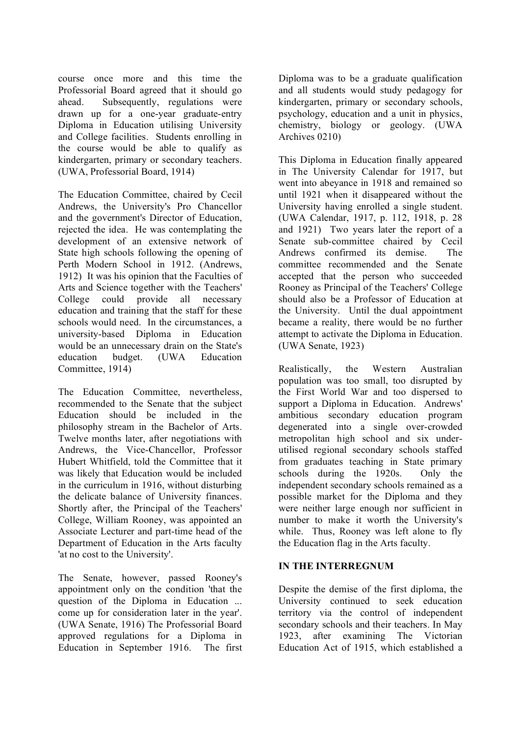course once more and this time the Professorial Board agreed that it should go ahead. Subsequently, regulations were drawn up for a one-year graduate-entry Diploma in Education utilising University and College facilities. Students enrolling in the course would be able to qualify as kindergarten, primary or secondary teachers. (UWA, Professorial Board, 1914)

The Education Committee, chaired by Cecil Andrews, the University's Pro Chancellor and the government's Director of Education, rejected the idea. He was contemplating the development of an extensive network of State high schools following the opening of Perth Modern School in 1912. (Andrews, 1912) It was his opinion that the Faculties of Arts and Science together with the Teachers' College could provide all necessary education and training that the staff for these schools would need. In the circumstances, a university-based Diploma in Education would be an unnecessary drain on the State's education budget. (UWA Education Committee, 1914)

The Education Committee, nevertheless, recommended to the Senate that the subject Education should be included in the philosophy stream in the Bachelor of Arts. Twelve months later, after negotiations with Andrews, the Vice-Chancellor, Professor Hubert Whitfield, told the Committee that it was likely that Education would be included in the curriculum in 1916, without disturbing the delicate balance of University finances. Shortly after, the Principal of the Teachers' College, William Rooney, was appointed an Associate Lecturer and part-time head of the Department of Education in the Arts faculty 'at no cost to the University'.

The Senate, however, passed Rooney's appointment only on the condition 'that the question of the Diploma in Education ... come up for consideration later in the year'. (UWA Senate, 1916) The Professorial Board approved regulations for a Diploma in Education in September 1916. The first Diploma was to be a graduate qualification and all students would study pedagogy for kindergarten, primary or secondary schools, psychology, education and a unit in physics, chemistry, biology or geology. (UWA Archives 0210)

This Diploma in Education finally appeared in The University Calendar for 1917, but went into abeyance in 1918 and remained so until 1921 when it disappeared without the University having enrolled a single student. (UWA Calendar, 1917, p. 112, 1918, p. 28 and 1921) Two years later the report of a Senate sub-committee chaired by Cecil Andrews confirmed its demise. The committee recommended and the Senate accepted that the person who succeeded Rooney as Principal of the Teachers' College should also be a Professor of Education at the University. Until the dual appointment became a reality, there would be no further attempt to activate the Diploma in Education. (UWA Senate, 1923)

Realistically, the Western Australian population was too small, too disrupted by the First World War and too dispersed to support a Diploma in Education. Andrews' ambitious secondary education program degenerated into a single over-crowded metropolitan high school and six underutilised regional secondary schools staffed from graduates teaching in State primary schools during the 1920s. Only the independent secondary schools remained as a possible market for the Diploma and they were neither large enough nor sufficient in number to make it worth the University's while. Thus, Rooney was left alone to fly the Education flag in the Arts faculty.

#### **IN THE INTERREGNUM**

Despite the demise of the first diploma, the University continued to seek education territory via the control of independent secondary schools and their teachers. In May 1923, after examining The Victorian Education Act of 1915, which established a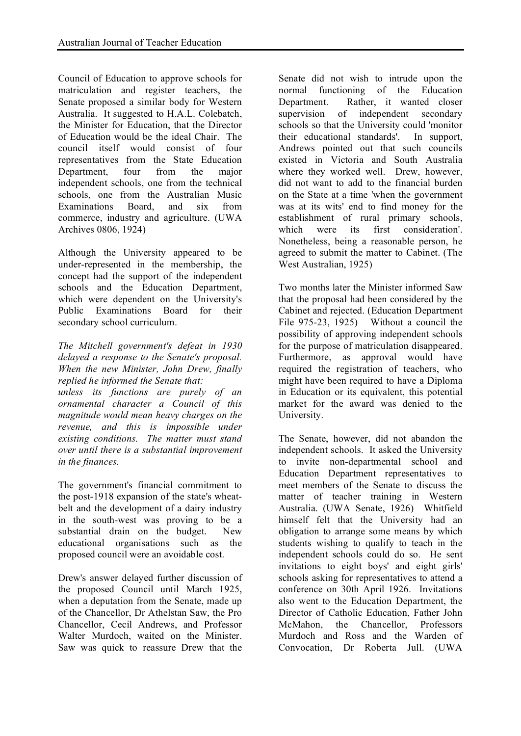Council of Education to approve schools for matriculation and register teachers, the Senate proposed a similar body for Western Australia. It suggested to H.A.L. Colebatch, the Minister for Education, that the Director of Education would be the ideal Chair. The council itself would consist of four representatives from the State Education Department, four from the major independent schools, one from the technical schools, one from the Australian Music Examinations Board, and six from commerce, industry and agriculture. (UWA Archives 0806, 1924)

Although the University appeared to be under-represented in the membership, the concept had the support of the independent schools and the Education Department, which were dependent on the University's Public Examinations Board for their secondary school curriculum.

### *The Mitchell government's defeat in 1930 delayed a response to the Senate's proposal. When the new Minister, John Drew, finally replied he informed the Senate that:*

*unless its functions are purely of an ornamental character a Council of this magnitude would mean heavy charges on the revenue, and this is impossible under existing conditions. The matter must stand over until there is a substantial improvement in the finances.*

The government's financial commitment to the post-1918 expansion of the state's wheatbelt and the development of a dairy industry in the south-west was proving to be a substantial drain on the budget. New educational organisations such as the proposed council were an avoidable cost.

Drew's answer delayed further discussion of the proposed Council until March 1925, when a deputation from the Senate, made up of the Chancellor, Dr Athelstan Saw, the Pro Chancellor, Cecil Andrews, and Professor Walter Murdoch, waited on the Minister. Saw was quick to reassure Drew that the

Senate did not wish to intrude upon the normal functioning of the Education Department. Rather, it wanted closer supervision of independent secondary schools so that the University could 'monitor their educational standards'. In support, Andrews pointed out that such councils existed in Victoria and South Australia where they worked well. Drew, however, did not want to add to the financial burden on the State at a time 'when the government was at its wits' end to find money for the establishment of rural primary schools, which were its first consideration'. Nonetheless, being a reasonable person, he agreed to submit the matter to Cabinet. (The West Australian, 1925)

Two months later the Minister informed Saw that the proposal had been considered by the Cabinet and rejected. (Education Department File 975-23, 1925) Without a council the possibility of approving independent schools for the purpose of matriculation disappeared. Furthermore, as approval would have required the registration of teachers, who might have been required to have a Diploma in Education or its equivalent, this potential market for the award was denied to the University.

The Senate, however, did not abandon the independent schools. It asked the University to invite non-departmental school and Education Department representatives to meet members of the Senate to discuss the matter of teacher training in Western Australia. (UWA Senate, 1926) Whitfield himself felt that the University had an obligation to arrange some means by which students wishing to qualify to teach in the independent schools could do so. He sent invitations to eight boys' and eight girls' schools asking for representatives to attend a conference on 30th April 1926. Invitations also went to the Education Department, the Director of Catholic Education, Father John McMahon, the Chancellor, Professors Murdoch and Ross and the Warden of Convocation, Dr Roberta Jull. (UWA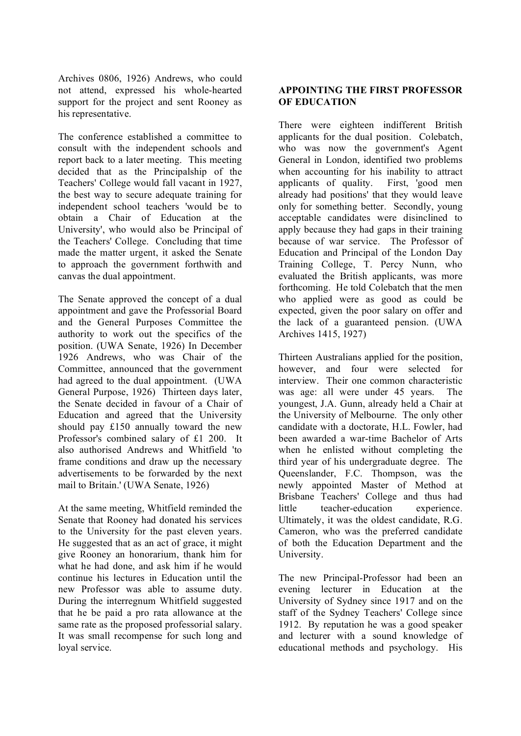Archives 0806, 1926) Andrews, who could not attend, expressed his whole-hearted support for the project and sent Rooney as his representative.

The conference established a committee to consult with the independent schools and report back to a later meeting. This meeting decided that as the Principalship of the Teachers' College would fall vacant in 1927, the best way to secure adequate training for independent school teachers 'would be to obtain a Chair of Education at the University', who would also be Principal of the Teachers' College. Concluding that time made the matter urgent, it asked the Senate to approach the government forthwith and canvas the dual appointment.

The Senate approved the concept of a dual appointment and gave the Professorial Board and the General Purposes Committee the authority to work out the specifics of the position. (UWA Senate, 1926) In December 1926 Andrews, who was Chair of the Committee, announced that the government had agreed to the dual appointment. (UWA General Purpose, 1926) Thirteen days later, the Senate decided in favour of a Chair of Education and agreed that the University should pay £150 annually toward the new Professor's combined salary of £1 200. It also authorised Andrews and Whitfield 'to frame conditions and draw up the necessary advertisements to be forwarded by the next mail to Britain.' (UWA Senate, 1926)

At the same meeting, Whitfield reminded the Senate that Rooney had donated his services to the University for the past eleven years. He suggested that as an act of grace, it might give Rooney an honorarium, thank him for what he had done, and ask him if he would continue his lectures in Education until the new Professor was able to assume duty. During the interregnum Whitfield suggested that he be paid a pro rata allowance at the same rate as the proposed professorial salary. It was small recompense for such long and loyal service.

### **APPOINTING THE FIRST PROFESSOR OF EDUCATION**

There were eighteen indifferent British applicants for the dual position. Colebatch, who was now the government's Agent General in London, identified two problems when accounting for his inability to attract applicants of quality. First, 'good men already had positions' that they would leave only for something better. Secondly, young acceptable candidates were disinclined to apply because they had gaps in their training because of war service. The Professor of Education and Principal of the London Day Training College, T. Percy Nunn, who evaluated the British applicants, was more forthcoming. He told Colebatch that the men who applied were as good as could be expected, given the poor salary on offer and the lack of a guaranteed pension. (UWA Archives 1415, 1927)

Thirteen Australians applied for the position, however, and four were selected for interview. Their one common characteristic was age: all were under 45 years. The youngest, J.A. Gunn, already held a Chair at the University of Melbourne. The only other candidate with a doctorate, H.L. Fowler, had been awarded a war-time Bachelor of Arts when he enlisted without completing the third year of his undergraduate degree. The Queenslander, F.C. Thompson, was the newly appointed Master of Method at Brisbane Teachers' College and thus had little teacher-education experience. Ultimately, it was the oldest candidate, R.G. Cameron, who was the preferred candidate of both the Education Department and the University.

The new Principal-Professor had been an evening lecturer in Education at the University of Sydney since 1917 and on the staff of the Sydney Teachers' College since 1912. By reputation he was a good speaker and lecturer with a sound knowledge of educational methods and psychology. His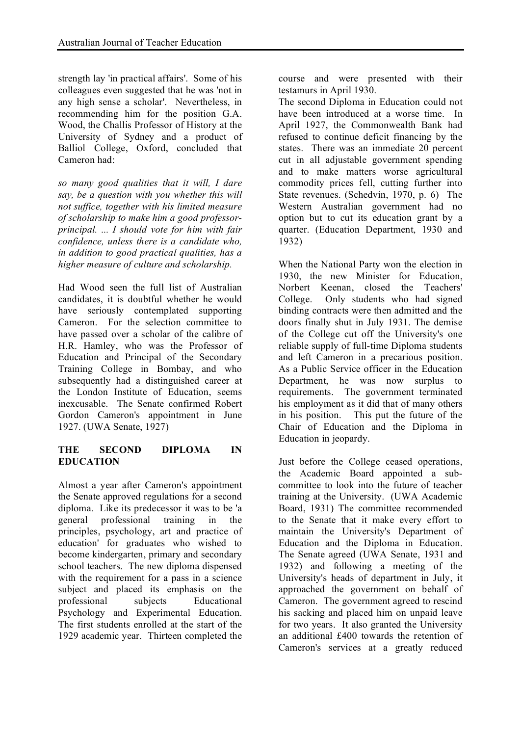strength lay 'in practical affairs'. Some of his colleagues even suggested that he was 'not in any high sense a scholar'. Nevertheless, in recommending him for the position G.A. Wood, the Challis Professor of History at the University of Sydney and a product of Balliol College, Oxford, concluded that Cameron had:

*so many good qualities that it will, I dare say, be a question with you whether this will not suffice, together with his limited measure of scholarship to make him a good professorprincipal. ... I should vote for him with fair confidence, unless there is a candidate who, in addition to good practical qualities, has a higher measure of culture and scholarship.*

Had Wood seen the full list of Australian candidates, it is doubtful whether he would have seriously contemplated supporting Cameron. For the selection committee to have passed over a scholar of the calibre of H.R. Hamley, who was the Professor of Education and Principal of the Secondary Training College in Bombay, and who subsequently had a distinguished career at the London Institute of Education, seems inexcusable. The Senate confirmed Robert Gordon Cameron's appointment in June 1927. (UWA Senate, 1927)

## **THE SECOND DIPLOMA IN EDUCATION**

Almost a year after Cameron's appointment the Senate approved regulations for a second diploma. Like its predecessor it was to be 'a general professional training in the principles, psychology, art and practice of education' for graduates who wished to become kindergarten, primary and secondary school teachers. The new diploma dispensed with the requirement for a pass in a science subject and placed its emphasis on the professional subjects Educational Psychology and Experimental Education. The first students enrolled at the start of the 1929 academic year. Thirteen completed the course and were presented with their testamurs in April 1930.

The second Diploma in Education could not have been introduced at a worse time. In April 1927, the Commonwealth Bank had refused to continue deficit financing by the states. There was an immediate 20 percent cut in all adjustable government spending and to make matters worse agricultural commodity prices fell, cutting further into State revenues. (Schedvin, 1970, p. 6) The Western Australian government had no option but to cut its education grant by a quarter. (Education Department, 1930 and 1932)

When the National Party won the election in 1930, the new Minister for Education, Norbert Keenan, closed the Teachers' College. Only students who had signed binding contracts were then admitted and the doors finally shut in July 1931. The demise of the College cut off the University's one reliable supply of full-time Diploma students and left Cameron in a precarious position. As a Public Service officer in the Education Department, he was now surplus to requirements. The government terminated his employment as it did that of many others in his position. This put the future of the Chair of Education and the Diploma in Education in jeopardy.

Just before the College ceased operations, the Academic Board appointed a subcommittee to look into the future of teacher training at the University. (UWA Academic Board, 1931) The committee recommended to the Senate that it make every effort to maintain the University's Department of Education and the Diploma in Education. The Senate agreed (UWA Senate, 1931 and 1932) and following a meeting of the University's heads of department in July, it approached the government on behalf of Cameron. The government agreed to rescind his sacking and placed him on unpaid leave for two years. It also granted the University an additional £400 towards the retention of Cameron's services at a greatly reduced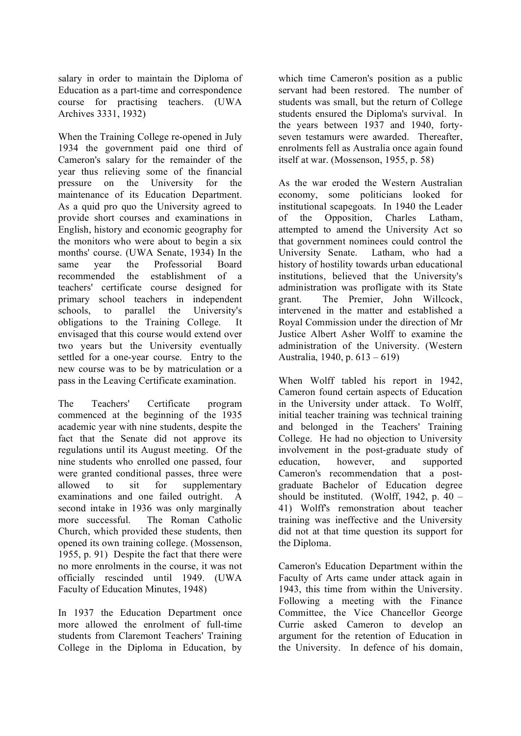salary in order to maintain the Diploma of Education as a part-time and correspondence course for practising teachers. (UWA Archives 3331, 1932)

When the Training College re-opened in July 1934 the government paid one third of Cameron's salary for the remainder of the year thus relieving some of the financial pressure on the University for the maintenance of its Education Department. As a quid pro quo the University agreed to provide short courses and examinations in English, history and economic geography for the monitors who were about to begin a six months' course. (UWA Senate, 1934) In the same year the Professorial Board recommended the establishment of a teachers' certificate course designed for primary school teachers in independent schools, to parallel the University's obligations to the Training College. It envisaged that this course would extend over two years but the University eventually settled for a one-year course. Entry to the new course was to be by matriculation or a pass in the Leaving Certificate examination.

The Teachers' Certificate program commenced at the beginning of the 1935 academic year with nine students, despite the fact that the Senate did not approve its regulations until its August meeting. Of the nine students who enrolled one passed, four were granted conditional passes, three were allowed to sit for supplementary examinations and one failed outright. A second intake in 1936 was only marginally more successful. The Roman Catholic Church, which provided these students, then opened its own training college. (Mossenson, 1955, p. 91) Despite the fact that there were no more enrolments in the course, it was not officially rescinded until 1949. (UWA Faculty of Education Minutes, 1948)

In 1937 the Education Department once more allowed the enrolment of full-time students from Claremont Teachers' Training College in the Diploma in Education, by

which time Cameron's position as a public servant had been restored. The number of students was small, but the return of College students ensured the Diploma's survival. In the years between 1937 and 1940, fortyseven testamurs were awarded. Thereafter, enrolments fell as Australia once again found itself at war. (Mossenson, 1955, p. 58)

As the war eroded the Western Australian economy, some politicians looked for institutional scapegoats. In 1940 the Leader of the Opposition, Charles Latham, attempted to amend the University Act so that government nominees could control the University Senate. Latham, who had a history of hostility towards urban educational institutions, believed that the University's administration was profligate with its State grant. The Premier, John Willcock, intervened in the matter and established a Royal Commission under the direction of Mr Justice Albert Asher Wolff to examine the administration of the University. (Western Australia, 1940, p. 613 – 619)

When Wolff tabled his report in 1942, Cameron found certain aspects of Education in the University under attack. To Wolff, initial teacher training was technical training and belonged in the Teachers' Training College. He had no objection to University involvement in the post-graduate study of education, however, and supported Cameron's recommendation that a postgraduate Bachelor of Education degree should be instituted. (Wolff, 1942, p.  $40 -$ 41) Wolff's remonstration about teacher training was ineffective and the University did not at that time question its support for the Diploma.

Cameron's Education Department within the Faculty of Arts came under attack again in 1943, this time from within the University. Following a meeting with the Finance Committee, the Vice Chancellor George Currie asked Cameron to develop an argument for the retention of Education in the University. In defence of his domain,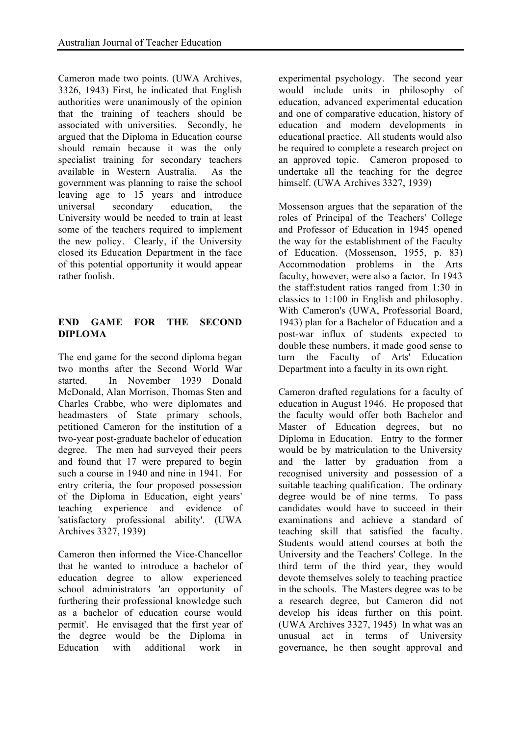Cameron made two points. (UWA Archives, 3326, 1943) First, he indicated that English authorities were unanimously of the opinion that the training of teachers should be associated with universities. Secondly, he argued that the Diploma in Education course should remain because it was the only specialist training for secondary teachers available in Western Australia. As the government was planning to raise the school leaving age to 15 years and introduce universal secondary education, the University would be needed to train at least some of the teachers required to implement the new policy. Clearly, if the University closed its Education Department in the face of this potential opportunity it would appear rather foolish.

## **END GAME FOR THE SECOND DIPLOMA**

The end game for the second diploma began two months after the Second World War started. In November 1939 Donald McDonald, Alan Morrison, Thomas Sten and Charles Crabbe, who were diplomates and headmasters of State primary schools, petitioned Cameron for the institution of a two-year post-graduate bachelor of education degree. The men had surveyed their peers and found that 17 were prepared to begin such a course in 1940 and nine in 1941. For entry criteria, the four proposed possession of the Diploma in Education, eight years' teaching experience and evidence of 'satisfactory professional ability'. (UWA Archives 3327, 1939)

Cameron then informed the Vice-Chancellor that he wanted to introduce a bachelor of education degree to allow experienced school administrators 'an opportunity of furthering their professional knowledge such as a bachelor of education course would permit'. He envisaged that the first year of the degree would be the Diploma in Education with additional work in

experimental psychology. The second year would include units in philosophy of education, advanced experimental education and one of comparative education, history of education and modern developments in educational practice. All students would also be required to complete a research project on an approved topic. Cameron proposed to undertake all the teaching for the degree himself. (UWA Archives 3327, 1939)

Mossenson argues that the separation of the roles of Principal of the Teachers' College and Professor of Education in 1945 opened the way for the establishment of the Faculty of Education. (Mossenson, 1955, p. 83) Accommodation problems in the Arts faculty, however, were also a factor. In 1943 the staff:student ratios ranged from 1:30 in classics to 1:100 in English and philosophy. With Cameron's (UWA, Professorial Board, 1943) plan for a Bachelor of Education and a post-war influx of students expected to double these numbers, it made good sense to turn the Faculty of Arts' Education Department into a faculty in its own right.

Cameron drafted regulations for a faculty of education in August 1946. He proposed that the faculty would offer both Bachelor and Master of Education degrees, but no Diploma in Education. Entry to the former would be by matriculation to the University and the latter by graduation from a recognised university and possession of a suitable teaching qualification. The ordinary degree would be of nine terms. To pass candidates would have to succeed in their examinations and achieve a standard of teaching skill that satisfied the faculty. Students would attend courses at both the University and the Teachers' College. In the third term of the third year, they would devote themselves solely to teaching practice in the schools. The Masters degree was to be a research degree, but Cameron did not develop his ideas further on this point. (UWA Archives 3327, 1945) In what was an unusual act in terms of University governance, he then sought approval and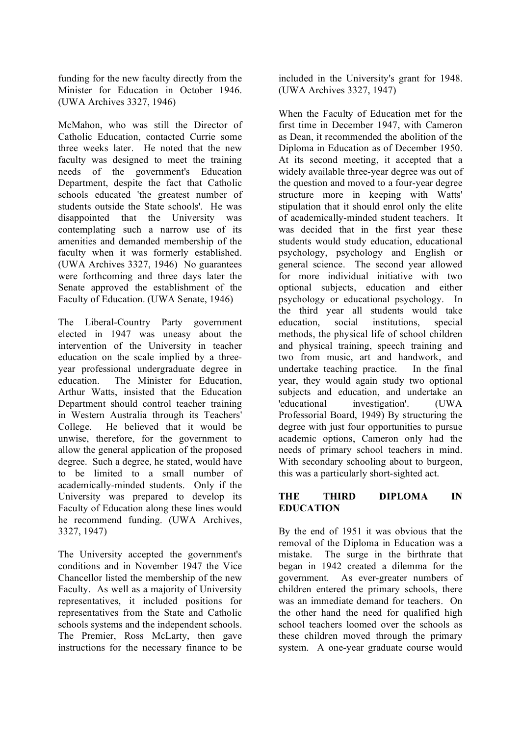funding for the new faculty directly from the Minister for Education in October 1946. (UWA Archives 3327, 1946)

McMahon, who was still the Director of Catholic Education, contacted Currie some three weeks later. He noted that the new faculty was designed to meet the training needs of the government's Education Department, despite the fact that Catholic schools educated 'the greatest number of students outside the State schools'. He was disappointed that the University was contemplating such a narrow use of its amenities and demanded membership of the faculty when it was formerly established. (UWA Archives 3327, 1946) No guarantees were forthcoming and three days later the Senate approved the establishment of the Faculty of Education. (UWA Senate, 1946)

The Liberal-Country Party government elected in 1947 was uneasy about the intervention of the University in teacher education on the scale implied by a threeyear professional undergraduate degree in education. The Minister for Education, Arthur Watts, insisted that the Education Department should control teacher training in Western Australia through its Teachers' College. He believed that it would be unwise, therefore, for the government to allow the general application of the proposed degree. Such a degree, he stated, would have to be limited to a small number of academically-minded students. Only if the University was prepared to develop its Faculty of Education along these lines would he recommend funding. (UWA Archives, 3327, 1947)

The University accepted the government's conditions and in November 1947 the Vice Chancellor listed the membership of the new Faculty. As well as a majority of University representatives, it included positions for representatives from the State and Catholic schools systems and the independent schools. The Premier, Ross McLarty, then gave instructions for the necessary finance to be

included in the University's grant for 1948. (UWA Archives 3327, 1947)

When the Faculty of Education met for the first time in December 1947, with Cameron as Dean, it recommended the abolition of the Diploma in Education as of December 1950. At its second meeting, it accepted that a widely available three-year degree was out of the question and moved to a four-year degree structure more in keeping with Watts' stipulation that it should enrol only the elite of academically-minded student teachers. It was decided that in the first year these students would study education, educational psychology, psychology and English or general science. The second year allowed for more individual initiative with two optional subjects, education and either psychology or educational psychology. In the third year all students would take education, social institutions, special methods, the physical life of school children and physical training, speech training and two from music, art and handwork, and undertake teaching practice. In the final year, they would again study two optional subjects and education, and undertake an 'educational investigation'. (UWA Professorial Board, 1949) By structuring the degree with just four opportunities to pursue academic options, Cameron only had the needs of primary school teachers in mind. With secondary schooling about to burgeon, this was a particularly short-sighted act.

## **THE THIRD DIPLOMA IN EDUCATION**

By the end of 1951 it was obvious that the removal of the Diploma in Education was a mistake. The surge in the birthrate that began in 1942 created a dilemma for the government. As ever-greater numbers of children entered the primary schools, there was an immediate demand for teachers. On the other hand the need for qualified high school teachers loomed over the schools as these children moved through the primary system. A one-year graduate course would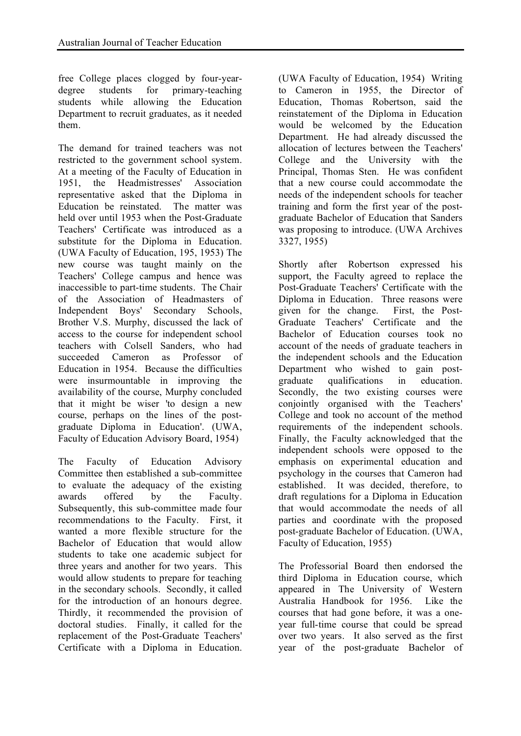free College places clogged by four-yeardegree students for primary-teaching students while allowing the Education Department to recruit graduates, as it needed them.

The demand for trained teachers was not restricted to the government school system. At a meeting of the Faculty of Education in 1951, the Headmistresses' Association representative asked that the Diploma in Education be reinstated. The matter was held over until 1953 when the Post-Graduate Teachers' Certificate was introduced as a substitute for the Diploma in Education. (UWA Faculty of Education, 195, 1953) The new course was taught mainly on the Teachers' College campus and hence was inaccessible to part-time students. The Chair of the Association of Headmasters of Independent Boys' Secondary Schools, Brother V.S. Murphy, discussed the lack of access to the course for independent school teachers with Colsell Sanders, who had succeeded Cameron as Professor of Education in 1954. Because the difficulties were insurmountable in improving the availability of the course, Murphy concluded that it might be wiser 'to design a new course, perhaps on the lines of the postgraduate Diploma in Education'. (UWA, Faculty of Education Advisory Board, 1954)

The Faculty of Education Advisory Committee then established a sub-committee to evaluate the adequacy of the existing awards offered by the Faculty. Subsequently, this sub-committee made four recommendations to the Faculty. First, it wanted a more flexible structure for the Bachelor of Education that would allow students to take one academic subject for three years and another for two years. This would allow students to prepare for teaching in the secondary schools. Secondly, it called for the introduction of an honours degree. Thirdly, it recommended the provision of doctoral studies. Finally, it called for the replacement of the Post-Graduate Teachers' Certificate with a Diploma in Education. (UWA Faculty of Education, 1954) Writing to Cameron in 1955, the Director of Education, Thomas Robertson, said the reinstatement of the Diploma in Education would be welcomed by the Education Department. He had already discussed the allocation of lectures between the Teachers' College and the University with the Principal, Thomas Sten. He was confident that a new course could accommodate the needs of the independent schools for teacher training and form the first year of the postgraduate Bachelor of Education that Sanders was proposing to introduce. (UWA Archives 3327, 1955)

Shortly after Robertson expressed his support, the Faculty agreed to replace the Post-Graduate Teachers' Certificate with the Diploma in Education. Three reasons were given for the change. First, the Post-Graduate Teachers' Certificate and the Bachelor of Education courses took no account of the needs of graduate teachers in the independent schools and the Education Department who wished to gain postgraduate qualifications in education. Secondly, the two existing courses were conjointly organised with the Teachers' College and took no account of the method requirements of the independent schools. Finally, the Faculty acknowledged that the independent schools were opposed to the emphasis on experimental education and psychology in the courses that Cameron had established. It was decided, therefore, to draft regulations for a Diploma in Education that would accommodate the needs of all parties and coordinate with the proposed post-graduate Bachelor of Education. (UWA, Faculty of Education, 1955)

The Professorial Board then endorsed the third Diploma in Education course, which appeared in The University of Western Australia Handbook for 1956. Like the courses that had gone before, it was a oneyear full-time course that could be spread over two years. It also served as the first year of the post-graduate Bachelor of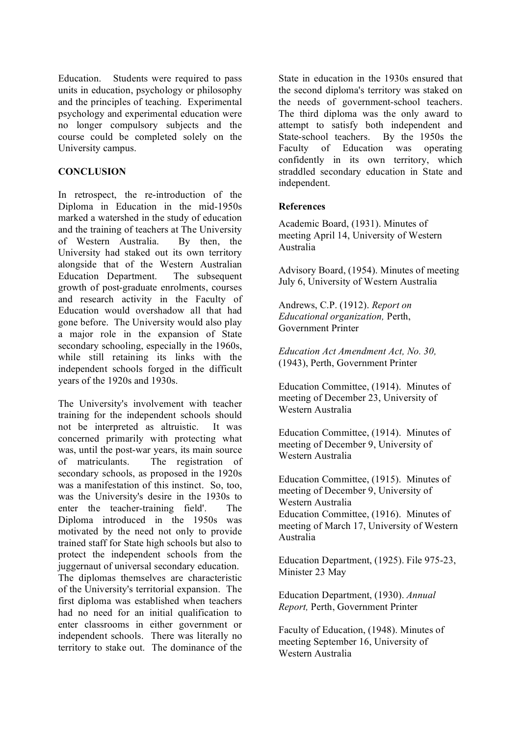Education. Students were required to pass units in education, psychology or philosophy and the principles of teaching. Experimental psychology and experimental education were no longer compulsory subjects and the course could be completed solely on the University campus.

### **CONCLUSION**

In retrospect, the re-introduction of the Diploma in Education in the mid-1950s marked a watershed in the study of education and the training of teachers at The University of Western Australia. By then, the University had staked out its own territory alongside that of the Western Australian Education Department. The subsequent growth of post-graduate enrolments, courses and research activity in the Faculty of Education would overshadow all that had gone before. The University would also play a major role in the expansion of State secondary schooling, especially in the 1960s, while still retaining its links with the independent schools forged in the difficult years of the 1920s and 1930s.

The University's involvement with teacher training for the independent schools should not be interpreted as altruistic. It was concerned primarily with protecting what was, until the post-war years, its main source of matriculants. The registration of secondary schools, as proposed in the 1920s was a manifestation of this instinct. So, too, was the University's desire in the 1930s to enter the teacher-training field'. The Diploma introduced in the 1950s was motivated by the need not only to provide trained staff for State high schools but also to protect the independent schools from the juggernaut of universal secondary education. The diplomas themselves are characteristic of the University's territorial expansion. The first diploma was established when teachers had no need for an initial qualification to enter classrooms in either government or independent schools. There was literally no territory to stake out. The dominance of the

State in education in the 1930s ensured that the second diploma's territory was staked on the needs of government-school teachers. The third diploma was the only award to attempt to satisfy both independent and State-school teachers. By the 1950s the Faculty of Education was operating confidently in its own territory, which straddled secondary education in State and independent.

## **References**

Academic Board, (1931). Minutes of meeting April 14, University of Western Australia

Advisory Board, (1954). Minutes of meeting July 6, University of Western Australia

Andrews, C.P. (1912). *Report on Educational organization,* Perth, Government Printer

*Education Act Amendment Act, No. 30,* (1943), Perth, Government Printer

Education Committee, (1914). Minutes of meeting of December 23, University of Western Australia

Education Committee, (1914). Minutes of meeting of December 9, University of Western Australia

Education Committee, (1915). Minutes of meeting of December 9, University of Western Australia Education Committee, (1916). Minutes of meeting of March 17, University of Western Australia

Education Department, (1925). File 975-23, Minister 23 May

Education Department, (1930). *Annual Report,* Perth, Government Printer

Faculty of Education, (1948). Minutes of meeting September 16, University of Western Australia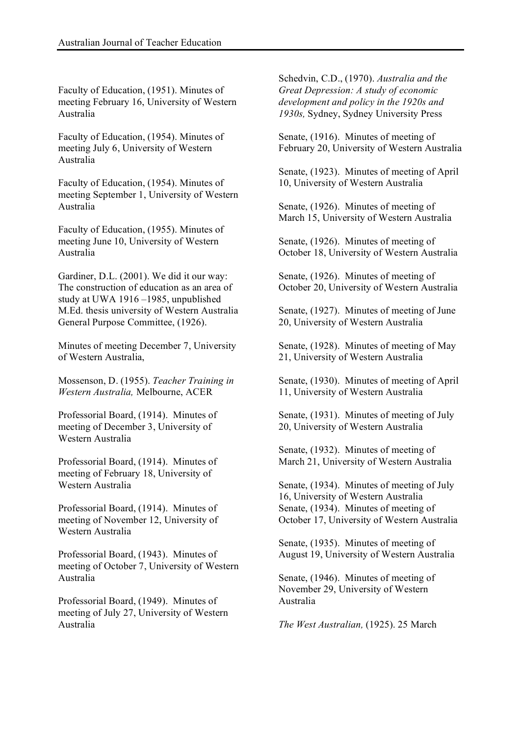Faculty of Education, (1951). Minutes of meeting February 16, University of Western Australia

Faculty of Education, (1954). Minutes of meeting July 6, University of Western Australia

Faculty of Education, (1954). Minutes of meeting September 1, University of Western Australia

Faculty of Education, (1955). Minutes of meeting June 10, University of Western Australia

Gardiner, D.L. (2001). We did it our way: The construction of education as an area of study at UWA 1916 –1985, unpublished M.Ed. thesis university of Western Australia General Purpose Committee, (1926).

Minutes of meeting December 7, University of Western Australia,

Mossenson, D. (1955). *Teacher Training in Western Australia,* Melbourne, ACER

Professorial Board, (1914). Minutes of meeting of December 3, University of Western Australia

Professorial Board, (1914). Minutes of meeting of February 18, University of Western Australia

Professorial Board, (1914). Minutes of meeting of November 12, University of Western Australia

Professorial Board, (1943). Minutes of meeting of October 7, University of Western Australia

Professorial Board, (1949). Minutes of meeting of July 27, University of Western Australia

Schedvin, C.D., (1970). *Australia and the Great Depression: A study of economic development and policy in the 1920s and 1930s,* Sydney, Sydney University Press

Senate, (1916). Minutes of meeting of February 20, University of Western Australia

Senate, (1923). Minutes of meeting of April 10, University of Western Australia

Senate, (1926). Minutes of meeting of March 15, University of Western Australia

Senate, (1926). Minutes of meeting of October 18, University of Western Australia

Senate, (1926). Minutes of meeting of October 20, University of Western Australia

Senate, (1927). Minutes of meeting of June 20, University of Western Australia

Senate, (1928). Minutes of meeting of May 21, University of Western Australia

Senate, (1930). Minutes of meeting of April 11, University of Western Australia

Senate, (1931). Minutes of meeting of July 20, University of Western Australia

Senate, (1932). Minutes of meeting of March 21, University of Western Australia

Senate, (1934). Minutes of meeting of July 16, University of Western Australia Senate, (1934). Minutes of meeting of October 17, University of Western Australia

Senate, (1935). Minutes of meeting of August 19, University of Western Australia

Senate, (1946). Minutes of meeting of November 29, University of Western Australia

*The West Australian,* (1925). 25 March